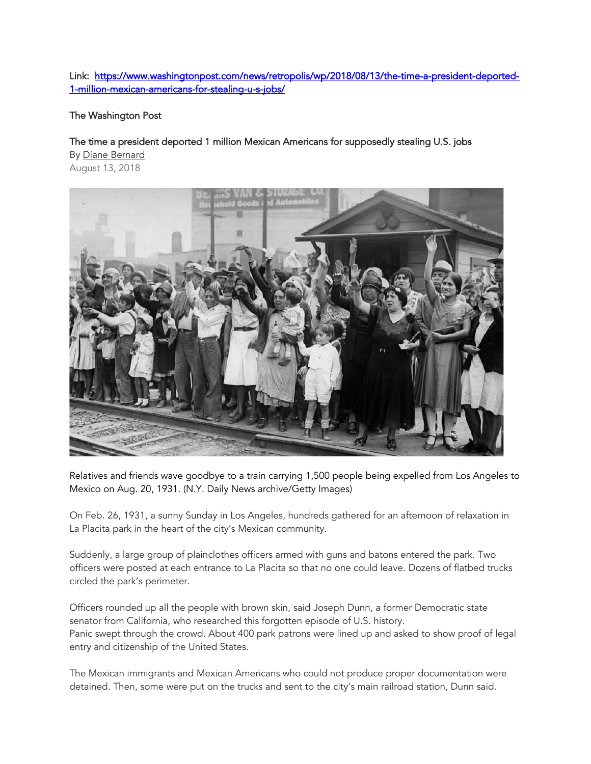Link: https://www.washingtonpost.com/news/retropolis/wp/2018/08/13/the-time-a-president-deported-1-million-mexican-americans-for-stealing-u-s-jobs/

## The Washington Post

## The time a president deported 1 million Mexican Americans for supposedly stealing U.S. jobs

By Diane Bernard August 13, 2018



Relatives and friends wave goodbye to a train carrying 1,500 people being expelled from Los Angeles to Mexico on Aug. 20, 1931. (N.Y. Daily News archive/Getty Images)

On Feb. 26, 1931, a sunny Sunday in Los Angeles, hundreds gathered for an afternoon of relaxation in La Placita park in the heart of the city's Mexican community.

Suddenly, a large group of plainclothes officers armed with guns and batons entered the park. Two officers were posted at each entrance to La Placita so that no one could leave. Dozens of flatbed trucks circled the park's perimeter.

Officers rounded up all the people with brown skin, said Joseph Dunn, a former Democratic state senator from California, who researched this forgotten episode of U.S. history. Panic swept through the crowd. About 400 park patrons were lined up and asked to show proof of legal entry and citizenship of the United States.

The Mexican immigrants and Mexican Americans who could not produce proper documentation were detained. Then, some were put on the trucks and sent to the city's main railroad station, Dunn said.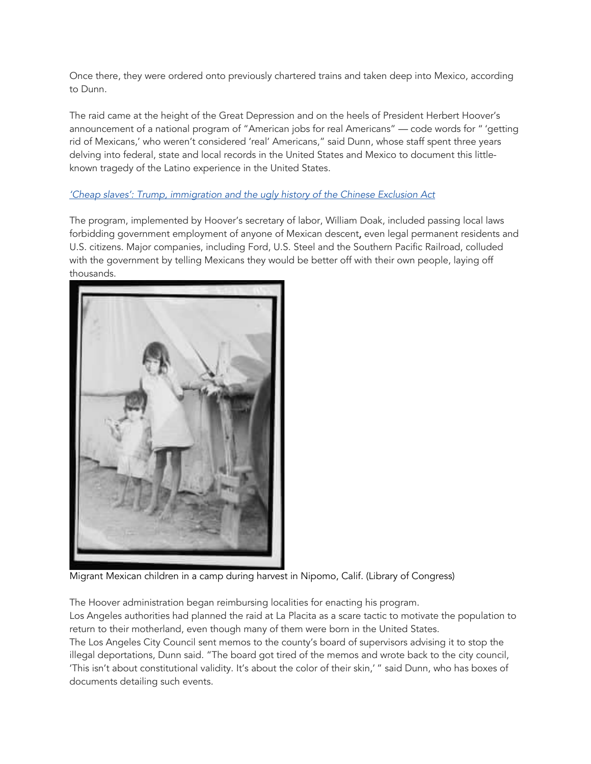Once there, they were ordered onto previously chartered trains and taken deep into Mexico, according to Dunn.

The raid came at the height of the Great Depression and on the heels of President Herbert Hoover's announcement of a national program of "American jobs for real Americans" — code words for " 'getting rid of Mexicans,' who weren't considered 'real' Americans," said Dunn, whose staff spent three years delving into federal, state and local records in the United States and Mexico to document this littleknown tragedy of the Latino experience in the United States.

## *'Cheap slaves': Trump, immigration and the ugly history of the Chinese Exclusion Act*

The program, implemented by Hoover's secretary of labor, William Doak, included passing local laws forbidding government employment of anyone of Mexican descent, even legal permanent residents and U.S. citizens. Major companies, including Ford, U.S. Steel and the Southern Pacific Railroad, colluded with the government by telling Mexicans they would be better off with their own people, laying off thousands.



Migrant Mexican children in a camp during harvest in Nipomo, Calif. (Library of Congress)

The Hoover administration began reimbursing localities for enacting his program.

Los Angeles authorities had planned the raid at La Placita as a scare tactic to motivate the population to return to their motherland, even though many of them were born in the United States.

The Los Angeles City Council sent memos to the county's board of supervisors advising it to stop the illegal deportations, Dunn said. "The board got tired of the memos and wrote back to the city council, 'This isn't about constitutional validity. It's about the color of their skin,' " said Dunn, who has boxes of documents detailing such events.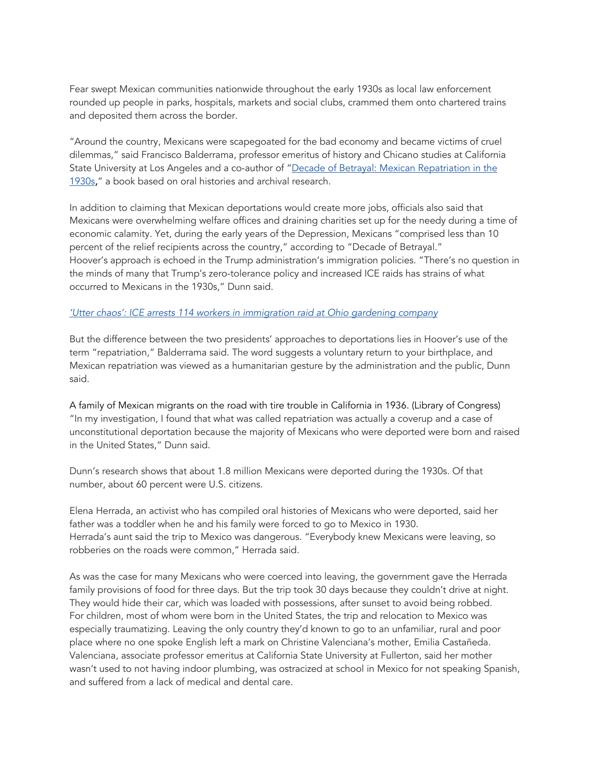Fear swept Mexican communities nationwide throughout the early 1930s as local law enforcement rounded up people in parks, hospitals, markets and social clubs, crammed them onto chartered trains and deposited them across the border.

"Around the country, Mexicans were scapegoated for the bad economy and became victims of cruel dilemmas," said Francisco Balderrama, professor emeritus of history and Chicano studies at California State University at Los Angeles and a co-author of "Decade of Betrayal: Mexican Repatriation in the 1930s," a book based on oral histories and archival research.

In addition to claiming that Mexican deportations would create more jobs, officials also said that Mexicans were overwhelming welfare offices and draining charities set up for the needy during a time of economic calamity. Yet, during the early years of the Depression, Mexicans "comprised less than 10 percent of the relief recipients across the country," according to "Decade of Betrayal." Hoover's approach is echoed in the Trump administration's immigration policies. "There's no question in the minds of many that Trump's zero-tolerance policy and increased ICE raids has strains of what occurred to Mexicans in the 1930s," Dunn said.

## *'Utter chaos': ICE arrests 114 workers in immigration raid at Ohio gardening company*

But the difference between the two presidents' approaches to deportations lies in Hoover's use of the term "repatriation," Balderrama said. The word suggests a voluntary return to your birthplace, and Mexican repatriation was viewed as a humanitarian gesture by the administration and the public, Dunn said.

A family of Mexican migrants on the road with tire trouble in California in 1936. (Library of Congress) "In my investigation, I found that what was called repatriation was actually a coverup and a case of unconstitutional deportation because the majority of Mexicans who were deported were born and raised in the United States," Dunn said.

Dunn's research shows that about 1.8 million Mexicans were deported during the 1930s. Of that number, about 60 percent were U.S. citizens.

Elena Herrada, an activist who has compiled oral histories of Mexicans who were deported, said her father was a toddler when he and his family were forced to go to Mexico in 1930. Herrada's aunt said the trip to Mexico was dangerous. "Everybody knew Mexicans were leaving, so robberies on the roads were common," Herrada said.

As was the case for many Mexicans who were coerced into leaving, the government gave the Herrada family provisions of food for three days. But the trip took 30 days because they couldn't drive at night. They would hide their car, which was loaded with possessions, after sunset to avoid being robbed. For children, most of whom were born in the United States, the trip and relocation to Mexico was especially traumatizing. Leaving the only country they'd known to go to an unfamiliar, rural and poor place where no one spoke English left a mark on Christine Valenciana's mother, Emilia Castañeda. Valenciana, associate professor emeritus at California State University at Fullerton, said her mother wasn't used to not having indoor plumbing, was ostracized at school in Mexico for not speaking Spanish, and suffered from a lack of medical and dental care.